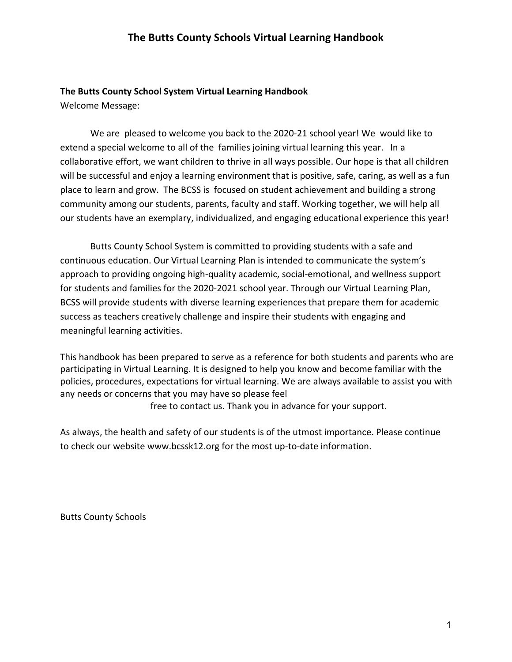#### **The Butts County School System Virtual Learning Handbook**

Welcome Message:

We are pleased to welcome you back to the 2020-21 school year! We would like to extend a special welcome to all of the families joining virtual learning this year. In a collaborative effort, we want children to thrive in all ways possible. Our hope is that all children will be successful and enjoy a learning environment that is positive, safe, caring, as well as a fun place to learn and grow. The BCSS is focused on student achievement and building a strong community among our students, parents, faculty and staff. Working together, we will help all our students have an exemplary, individualized, and engaging educational experience this year!

Butts County School System is committed to providing students with a safe and continuous education. Our Virtual Learning Plan is intended to communicate the system's approach to providing ongoing high-quality academic, social-emotional, and wellness support for students and families for the 2020-2021 school year. Through our Virtual Learning Plan, BCSS will provide students with diverse learning experiences that prepare them for academic success as teachers creatively challenge and inspire their students with engaging and meaningful learning activities.

This handbook has been prepared to serve as a reference for both students and parents who are participating in Virtual Learning. It is designed to help you know and become familiar with the policies, procedures, expectations for virtual learning. We are always available to assist you with any needs or concerns that you may have so please feel

free to contact us. Thank you in advance for your support.

As always, the health and safety of our students is of the utmost importance. Please continue to check our websit[e](http://www.bcssk12.org/) [www.bcssk12.org](http://www.bcssk12.org/) for the most up-to-date information.

Butts County Schools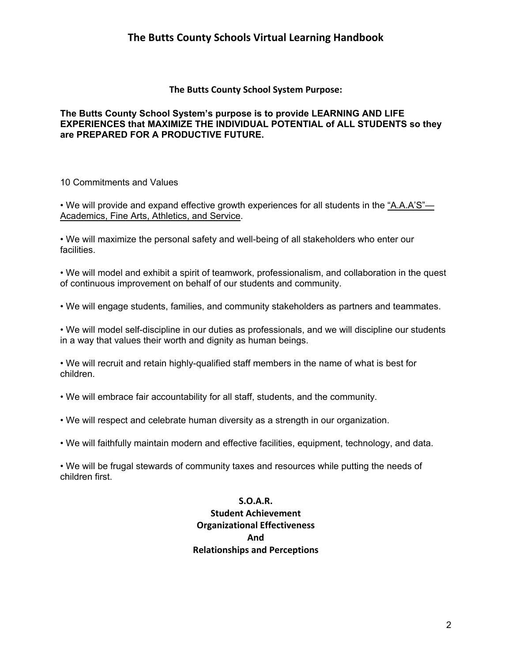#### **The Butts County School System Purpose:**

#### **The Butts County School System's purpose is to provide LEARNING AND LIFE EXPERIENCES that MAXIMIZE THE INDIVIDUAL POTENTIAL of ALL STUDENTS so they are PREPARED FOR A PRODUCTIVE FUTURE.**

10 Commitments and Values

• We will provide and expand effective growth experiences for all students in the "A.A.A'S"— Academics, Fine Arts, Athletics, and Service.

• We will maximize the personal safety and well-being of all stakeholders who enter our facilities.

• We will model and exhibit a spirit of teamwork, professionalism, and collaboration in the quest of continuous improvement on behalf of our students and community.

• We will engage students, families, and community stakeholders as partners and teammates.

• We will model self-discipline in our duties as professionals, and we will discipline our students in a way that values their worth and dignity as human beings.

• We will recruit and retain highly-qualified staff members in the name of what is best for children.

• We will embrace fair accountability for all staff, students, and the community.

• We will respect and celebrate human diversity as a strength in our organization.

• We will faithfully maintain modern and effective facilities, equipment, technology, and data.

• We will be frugal stewards of community taxes and resources while putting the needs of children first.

> **S.O.A.R. Student Achievement Organizational Effectiveness And Relationships and Perceptions**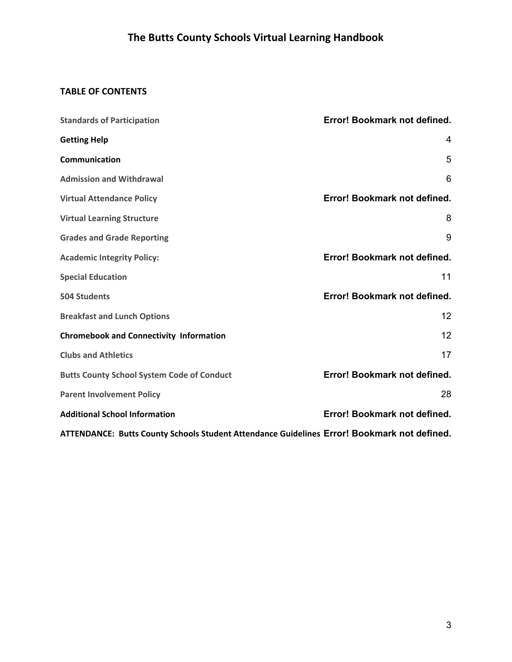## **TABLE OF CONTENTS**

| <b>Standards of Participation</b>                                                           | Error! Bookmark not defined. |
|---------------------------------------------------------------------------------------------|------------------------------|
| <b>Getting Help</b>                                                                         | 4                            |
| Communication                                                                               | 5                            |
| <b>Admission and Withdrawal</b>                                                             | 6                            |
| <b>Virtual Attendance Policy</b>                                                            | Error! Bookmark not defined. |
| <b>Virtual Learning Structure</b>                                                           | 8                            |
| <b>Grades and Grade Reporting</b>                                                           | 9                            |
| <b>Academic Integrity Policy:</b>                                                           | Error! Bookmark not defined. |
| <b>Special Education</b>                                                                    | 11                           |
| <b>504 Students</b>                                                                         | Error! Bookmark not defined. |
| <b>Breakfast and Lunch Options</b>                                                          | 12                           |
| <b>Chromebook and Connectivity Information</b>                                              | 12                           |
| <b>Clubs and Athletics</b>                                                                  | 17                           |
| <b>Butts County School System Code of Conduct</b>                                           | Error! Bookmark not defined. |
| <b>Parent Involvement Policy</b>                                                            | 28                           |
| <b>Additional School Information</b>                                                        | Error! Bookmark not defined. |
| ATTENDANCE: Butts County Schools Student Attendance Guidelines Error! Bookmark not defined. |                              |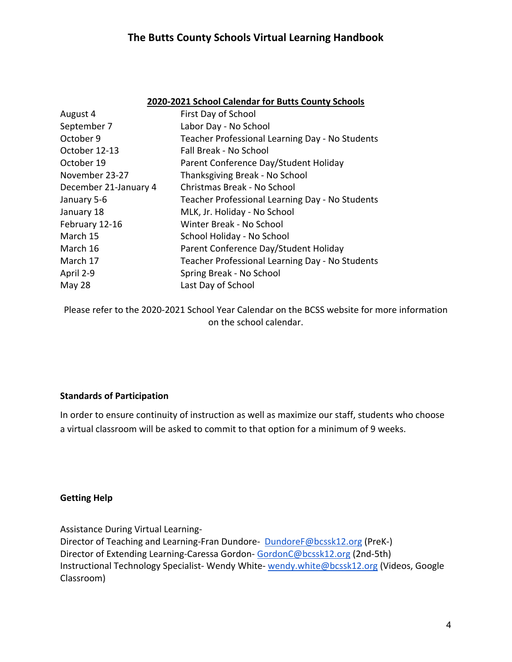|--|

| August 4              | First Day of School                             |
|-----------------------|-------------------------------------------------|
| September 7           | Labor Day - No School                           |
| October 9             | Teacher Professional Learning Day - No Students |
| October 12-13         | Fall Break - No School                          |
| October 19            | Parent Conference Day/Student Holiday           |
| November 23-27        | Thanksgiving Break - No School                  |
| December 21-January 4 | Christmas Break - No School                     |
| January 5-6           | Teacher Professional Learning Day - No Students |
| January 18            | MLK, Jr. Holiday - No School                    |
| February 12-16        | Winter Break - No School                        |
| March 15              | School Holiday - No School                      |
| March 16              | Parent Conference Day/Student Holiday           |
| March 17              | Teacher Professional Learning Day - No Students |
| April 2-9             | Spring Break - No School                        |
| <b>May 28</b>         | Last Day of School                              |

Please refer to the 2020-2021 School Year Calendar on the BCSS website for more information on the school calendar.

#### **Standards of Participation**

In order to ensure continuity of instruction as well as maximize our staff, students who choose a virtual classroom will be asked to commit to that option for a minimum of 9 weeks.

#### <span id="page-3-0"></span>**Getting Help**

Assistance During Virtual Learning-

Director of Teaching and Learning-Fran Dundore- [DundoreF@bcssk12.org](mailto:DundoreF@bcssk12.org) (PreK-) Director of Extending Learning-Caressa Gordon- [GordonC@bcssk12.org](mailto:GordonC@bcssk12.org) (2nd-5th) Instructional Technology Specialist- Wendy White- [wendy.white@bcssk12.org](mailto:wendy.white@bcssk12.org) (Videos, Google Classroom)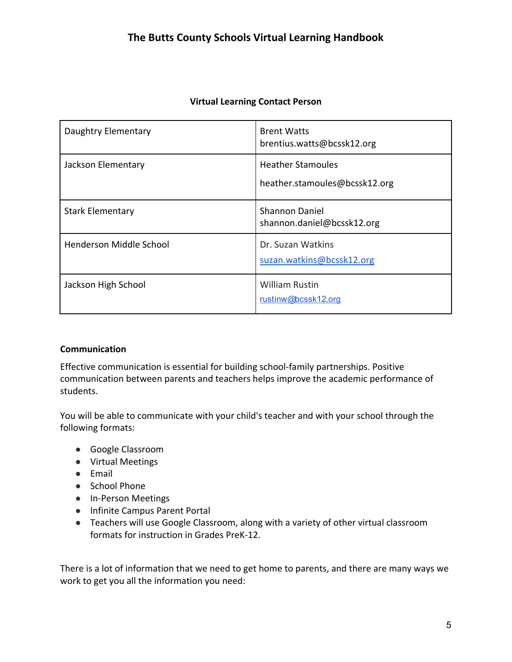| Daughtry Elementary     | <b>Brent Watts</b><br>brentius.watts@bcssk12.org          |
|-------------------------|-----------------------------------------------------------|
| Jackson Elementary      | <b>Heather Stamoules</b><br>heather.stamoules@bcssk12.org |
| <b>Stark Elementary</b> | <b>Shannon Daniel</b><br>shannon.daniel@bcssk12.org       |
| Henderson Middle School | Dr. Suzan Watkins<br>suzan.watkins@bcssk12.org            |
| Jackson High School     | <b>William Rustin</b><br>rustinw@bcssk12.org              |

### **Virtual Learning Contact Person**

#### <span id="page-4-0"></span>**Communication**

Effective communication is essential for building school-family partnerships. Positive communication between parents and teachers helps improve the academic performance of students.

You will be able to communicate with your child's teacher and with your school through the following formats:

- Google Classroom
- Virtual Meetings
- Email
- School Phone
- In-Person Meetings
- Infinite Campus Parent Portal
- Teachers will use Google Classroom, along with a variety of other virtual classroom formats for instruction in Grades PreK-12.

There is a lot of information that we need to get home to parents, and there are many ways we work to get you all the information you need: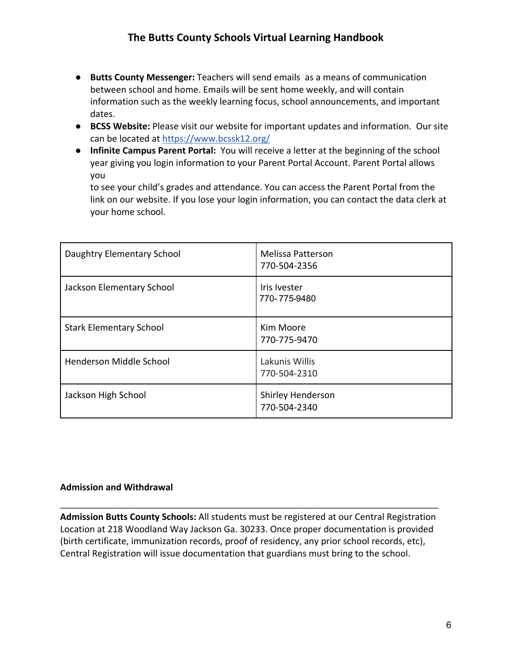- **Butts County Messenger:** Teachers will send emails as a means of communication between school and home. Emails will be sent home weekly, and will contain information such as the weekly learning focus, school announcements, and important dates.
- **BCSS Website:** Please visit our website for important updates and information. Our site can be located at<https://www.bcssk12.org/>
- **Infinite Campus Parent Portal:** You will receive a letter at the beginning of the school year giving you login information to your Parent Portal Account. Parent Portal allows you

to see your child's grades and attendance. You can access the Parent Portal from the link on our website. If you lose your login information, you can contact the data clerk at your home school.

| Daughtry Elementary School     | <b>Melissa Patterson</b><br>770-504-2356 |
|--------------------------------|------------------------------------------|
| Jackson Elementary School      | Iris Ivester<br>770-775-9480             |
| <b>Stark Elementary School</b> | Kim Moore<br>770-775-9470                |
| Henderson Middle School        | Lakunis Willis<br>770-504-2310           |
| Jackson High School            | Shirley Henderson<br>770-504-2340        |

### <span id="page-5-0"></span>**Admission and Withdrawal**

**Admission Butts County Schools:** All students must be registered at our Central Registration Location at 218 Woodland Way Jackson Ga. 30233. Once proper documentation is provided (birth certificate, immunization records, proof of residency, any prior school records, etc), Central Registration will issue documentation that guardians must bring to the school.

\_\_\_\_\_\_\_\_\_\_\_\_\_\_\_\_\_\_\_\_\_\_\_\_\_\_\_\_\_\_\_\_\_\_\_\_\_\_\_\_\_\_\_\_\_\_\_\_\_\_\_\_\_\_\_\_\_\_\_\_\_\_\_\_\_\_\_\_\_\_\_\_\_\_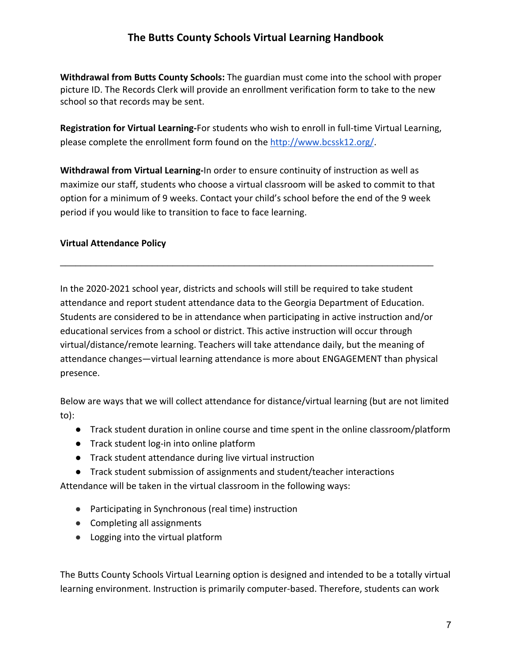**Withdrawal from Butts County Schools:** The guardian must come into the school with proper picture ID. The Records Clerk will provide an enrollment verification form to take to the new school so that records may be sent.

**Registration for Virtual Learning-**For students who wish to enroll in full-time Virtual Learning, please complete the enrollment form found on the [http://www.bcssk12.org/.](http://www.bcssk12.org/)

**Withdrawal from Virtual Learning-**In order to ensure continuity of instruction as well as maximize our staff, students who choose a virtual classroom will be asked to commit to that option for a minimum of 9 weeks. Contact your child's school before the end of the 9 week period if you would like to transition to face to face learning.

 $\mathcal{L}_\text{max}$  and  $\mathcal{L}_\text{max}$  and  $\mathcal{L}_\text{max}$  and  $\mathcal{L}_\text{max}$  and  $\mathcal{L}_\text{max}$  and  $\mathcal{L}_\text{max}$ 

### **Virtual Attendance Policy**

In the 2020-2021 school year, districts and schools will still be required to take student attendance and report student attendance data to the Georgia Department of Education. Students are considered to be in attendance when participating in active instruction and/or educational services from a school or district. This active instruction will occur through virtual/distance/remote learning. Teachers will take attendance daily, but the meaning of attendance changes—virtual learning attendance is more about ENGAGEMENT than physical presence.

Below are ways that we will collect attendance for distance/virtual learning (but are not limited to):

- Track student duration in online course and time spent in the online classroom/platform
- Track student log-in into online platform
- Track student attendance during live virtual instruction
- Track student submission of assignments and student/teacher interactions

Attendance will be taken in the virtual classroom in the following ways:

- Participating in Synchronous (real time) instruction
- Completing all assignments
- Logging into the virtual platform

The Butts County Schools Virtual Learning option is designed and intended to be a totally virtual learning environment. Instruction is primarily computer-based. Therefore, students can work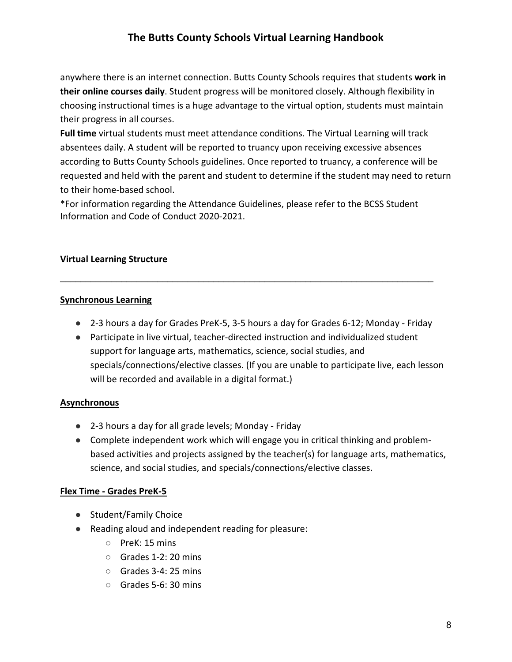anywhere there is an internet connection. Butts County Schools requires that students **work in their online courses daily**. Student progress will be monitored closely. Although flexibility in choosing instructional times is a huge advantage to the virtual option, students must maintain their progress in all courses.

**Full time** virtual students must meet attendance conditions. The Virtual Learning will track absentees daily. A student will be reported to truancy upon receiving excessive absences according to Butts County Schools guidelines. Once reported to truancy, a conference will be requested and held with the parent and student to determine if the student may need to return to their home-based school.

\*For information regarding the Attendance Guidelines, please refer to the BCSS Student Information and Code of Conduct 2020-2021.

#### <span id="page-7-0"></span>**Virtual Learning Structure**

#### **Synchronous Learning**

● 2-3 hours a day for Grades PreK-5, 3-5 hours a day for Grades 6-12; Monday - Friday

\_\_\_\_\_\_\_\_\_\_\_\_\_\_\_\_\_\_\_\_\_\_\_\_\_\_\_\_\_\_\_\_\_\_\_\_\_\_\_\_\_\_\_\_\_\_\_\_\_\_\_\_\_\_\_\_\_\_\_\_\_\_\_\_\_\_\_\_\_\_\_\_\_

● Participate in live virtual, teacher-directed instruction and individualized student support for language arts, mathematics, science, social studies, and specials/connections/elective classes. (If you are unable to participate live, each lesson will be recorded and available in a digital format.)

#### **Asynchronous**

- 2-3 hours a day for all grade levels; Monday Friday
- Complete independent work which will engage you in critical thinking and problembased activities and projects assigned by the teacher(s) for language arts, mathematics, science, and social studies, and specials/connections/elective classes.

#### **Flex Time - Grades PreK-5**

- Student/Family Choice
- Reading aloud and independent reading for pleasure:
	- PreK: 15 mins
	- Grades 1-2: 20 mins
	- Grades 3-4: 25 mins
	- Grades 5-6: 30 mins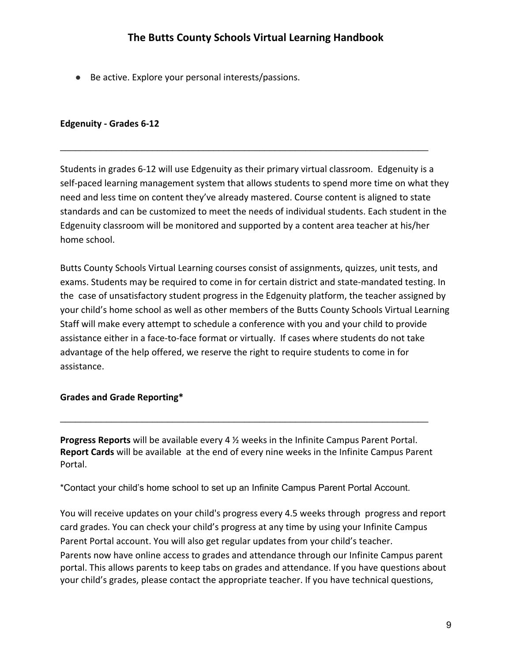● Be active. Explore your personal interests/passions.

#### **Edgenuity - Grades 6-12**

Students in grades 6-12 will use Edgenuity as their primary virtual classroom. Edgenuity is a self-paced learning management system that allows students to spend more time on what they need and less time on content they've already mastered. Course content is aligned to state standards and can be customized to meet the needs of individual students. Each student in the Edgenuity classroom will be monitored and supported by a content area teacher at his/her home school.

 $\_$  , and the contribution of the contribution of  $\mathcal{L}$  , and  $\mathcal{L}$  , and  $\mathcal{L}$  , and  $\mathcal{L}$  , and  $\mathcal{L}$ 

Butts County Schools Virtual Learning courses consist of assignments, quizzes, unit tests, and exams. Students may be required to come in for certain district and state-mandated testing. In the case of unsatisfactory student progress in the Edgenuity platform, the teacher assigned by your child's home school as well as other members of the Butts County Schools Virtual Learning Staff will make every attempt to schedule a conference with you and your child to provide assistance either in a face-to-face format or virtually. If cases where students do not take advantage of the help offered, we reserve the right to require students to come in for assistance.

#### <span id="page-8-0"></span>**Grades and Grade Reporting\***

**Progress Reports** will be available every 4 ½ weeks in the Infinite Campus Parent Portal. **Report Cards** will be available at the end of every nine weeks in the Infinite Campus Parent Portal.

 $\_$  , and the set of the set of the set of the set of the set of the set of the set of the set of the set of the set of the set of the set of the set of the set of the set of the set of the set of the set of the set of th

\*Contact your child's home school to set up an Infinite Campus Parent Portal Account.

You will receive updates on your child's progress every 4.5 weeks through progress and report card grades. You can check your child's progress at any time by using your Infinite Campus Parent Portal account. You will also get regular updates from your child's teacher. Parents now have online access to grades and attendance through our Infinite Campus parent portal. This allows parents to keep tabs on grades and attendance. If you have questions about your child's grades, please contact the appropriate teacher. If you have technical questions,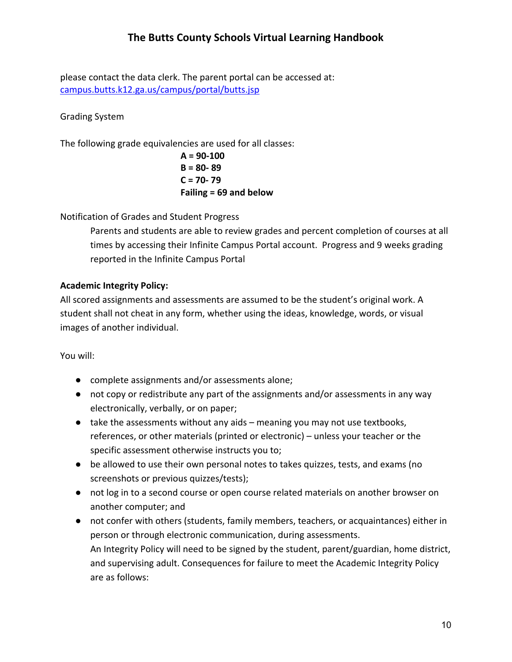please contact the data clerk. The parent portal can be accessed at: [campus.butts.k12.ga.us/campus/portal/butts.jsp](https://campus.butts.k12.ga.us/campus/portal/butts.jsp)

### Grading System

The following grade equivalencies are used for all classes:

$$
A = 90-100B = 80-89C = 70-79Failing = 69 and below
$$

Notification of Grades and Student Progress

Parents and students are able to review grades and percent completion of courses at all times by accessing their Infinite Campus Portal account. Progress and 9 weeks grading reported in the Infinite Campus Portal

### **Academic Integrity Policy:**

All scored assignments and assessments are assumed to be the student's original work. A student shall not cheat in any form, whether using the ideas, knowledge, words, or visual images of another individual.

You will:

- complete assignments and/or assessments alone;
- not copy or redistribute any part of the assignments and/or assessments in any way electronically, verbally, or on paper;
- take the assessments without any aids meaning you may not use textbooks, references, or other materials (printed or electronic) – unless your teacher or the specific assessment otherwise instructs you to;
- be allowed to use their own personal notes to takes quizzes, tests, and exams (no screenshots or previous quizzes/tests);
- not log in to a second course or open course related materials on another browser on another computer; and
- not confer with others (students, family members, teachers, or acquaintances) either in person or through electronic communication, during assessments. An Integrity Policy will need to be signed by the student, parent/guardian, home district, and supervising adult. Consequences for failure to meet the Academic Integrity Policy are as follows: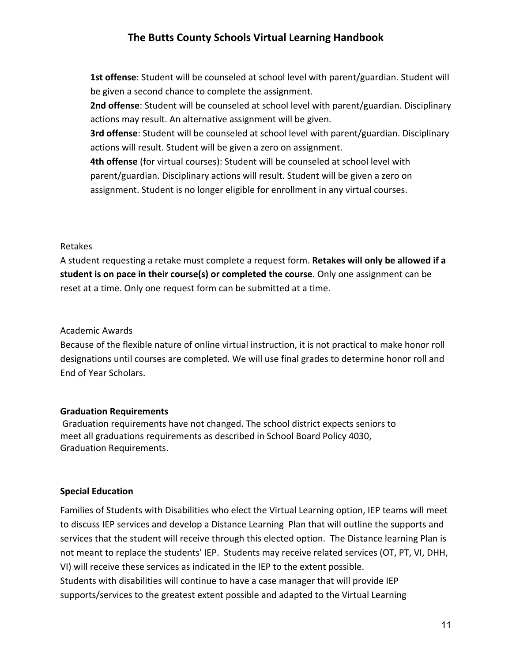**1st offense**: Student will be counseled at school level with parent/guardian. Student will be given a second chance to complete the assignment.

**2nd offense**: Student will be counseled at school level with parent/guardian. Disciplinary actions may result. An alternative assignment will be given.

**3rd offense**: Student will be counseled at school level with parent/guardian. Disciplinary actions will result. Student will be given a zero on assignment.

**4th offense** (for virtual courses): Student will be counseled at school level with parent/guardian. Disciplinary actions will result. Student will be given a zero on assignment. Student is no longer eligible for enrollment in any virtual courses.

#### Retakes

A student requesting a retake must complete a request form. **Retakes will only be allowed if a student is on pace in their course(s) or completed the course**. Only one assignment can be reset at a time. Only one request form can be submitted at a time.

#### Academic Awards

Because of the flexible nature of online virtual instruction, it is not practical to make honor roll designations until courses are completed. We will use final grades to determine honor roll and End of Year Scholars.

#### **Graduation Requirements**

 Graduation requirements have not changed. The school district expects seniors to meet all graduations requirements as described in School Board Policy 4030, Graduation Requirements.

#### <span id="page-10-0"></span>**Special Education**

Families of Students with Disabilities who elect the Virtual Learning option, IEP teams will meet to discuss IEP services and develop a Distance Learning Plan that will outline the supports and services that the student will receive through this elected option. The Distance learning Plan is not meant to replace the students' IEP. Students may receive related services (OT, PT, VI, DHH, VI) will receive these services as indicated in the IEP to the extent possible. Students with disabilities will continue to have a case manager that will provide IEP supports/services to the greatest extent possible and adapted to the Virtual Learning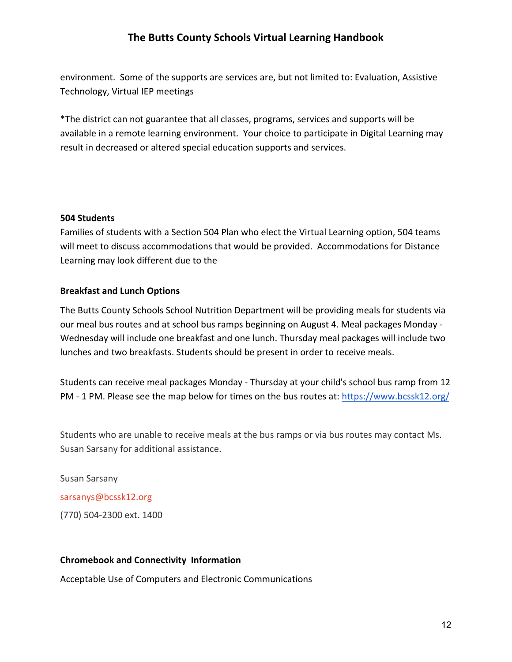environment. Some of the supports are services are, but not limited to: Evaluation, Assistive Technology, Virtual IEP meetings

\*The district can not guarantee that all classes, programs, services and supports will be available in a remote learning environment. Your choice to participate in Digital Learning may result in decreased or altered special education supports and services.

#### **504 Students**

Families of students with a Section 504 Plan who elect the Virtual Learning option, 504 teams will meet to discuss accommodations that would be provided. Accommodations for Distance Learning may look different due to the

#### <span id="page-11-0"></span>**Breakfast and Lunch Options**

The Butts County Schools School Nutrition Department will be providing meals for students via our meal bus routes and at school bus ramps beginning on August 4. Meal packages Monday - Wednesday will include one breakfast and one lunch. Thursday meal packages will include two lunches and two breakfasts. Students should be present in order to receive meals.

Students can receive meal packages Monday - Thursday at your child's school bus ramp from 12 PM - 1 PM. Please see the map below for times on the bus routes at:<https://www.bcssk12.org/>

Students who are unable to receive meals at the bus ramps or via bus routes may contact Ms. Susan Sarsany for additional assistance.

Susan Sarsany sarsanys@bcssk12.org (770) 504-2300 ext. 1400

### <span id="page-11-1"></span>**Chromebook and Connectivity Information**

Acceptable Use of Computers and Electronic Communications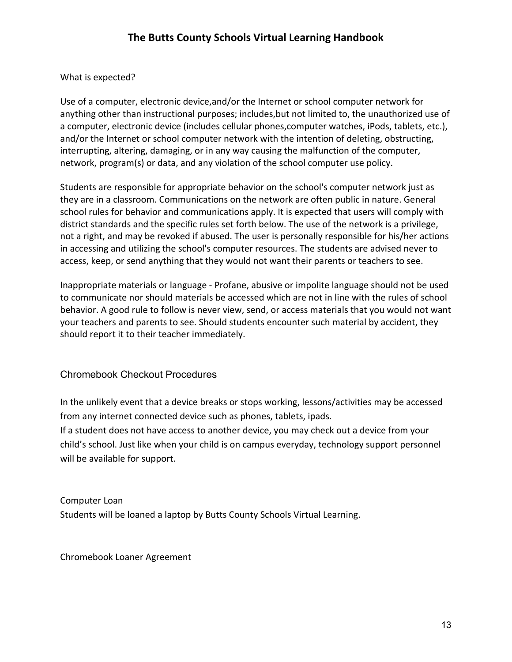### What is expected?

Use of a computer, electronic device,and/or the Internet or school computer network for anything other than instructional purposes; includes,but not limited to, the unauthorized use of a computer, electronic device (includes cellular phones,computer watches, iPods, tablets, etc.), and/or the Internet or school computer network with the intention of deleting, obstructing, interrupting, altering, damaging, or in any way causing the malfunction of the computer, network, program(s) or data, and any violation of the school computer use policy.

Students are responsible for appropriate behavior on the school's computer network just as they are in a classroom. Communications on the network are often public in nature. General school rules for behavior and communications apply. It is expected that users will comply with district standards and the specific rules set forth below. The use of the network is a privilege, not a right, and may be revoked if abused. The user is personally responsible for his/her actions in accessing and utilizing the school's computer resources. The students are advised never to access, keep, or send anything that they would not want their parents or teachers to see.

Inappropriate materials or language - Profane, abusive or impolite language should not be used to communicate nor should materials be accessed which are not in line with the rules of school behavior. A good rule to follow is never view, send, or access materials that you would not want your teachers and parents to see. Should students encounter such material by accident, they should report it to their teacher immediately.

### Chromebook Checkout Procedures

In the unlikely event that a device breaks or stops working, lessons/activities may be accessed from any internet connected device such as phones, tablets, ipads.

If a student does not have access to another device, you may check out a device from your child's school. Just like when your child is on campus everyday, technology support personnel will be available for support.

Computer Loan Students will be loaned a laptop by Butts County Schools Virtual Learning.

Chromebook Loaner Agreement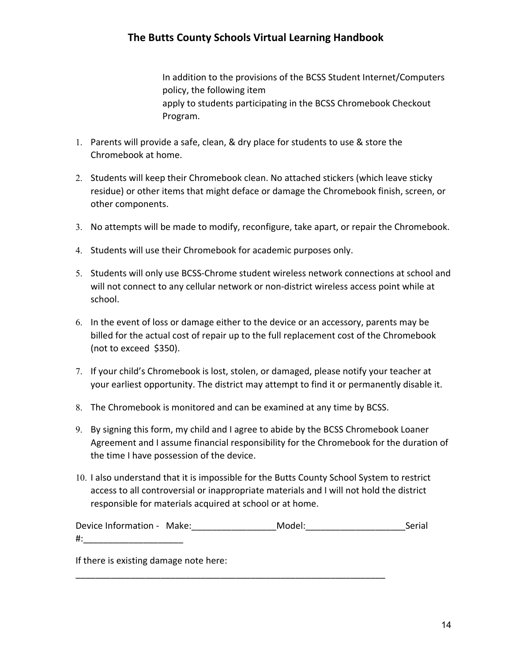In addition to the provisions of the BCSS Student Internet/Computers policy, the following item apply to students participating in the BCSS Chromebook Checkout Program.

- 1. Parents will provide a safe, clean, & dry place for students to use & store the Chromebook at home.
- 2. Students will keep their Chromebook clean. No attached stickers (which leave sticky residue) or other items that might deface or damage the Chromebook finish, screen, or other components.
- 3. No attempts will be made to modify, reconfigure, take apart, or repair the Chromebook.
- 4. Students will use their Chromebook for academic purposes only.
- 5. Students will only use BCSS-Chrome student wireless network connections at school and will not connect to any cellular network or non-district wireless access point while at school.
- 6. In the event of loss or damage either to the device or an accessory, parents may be billed for the actual cost of repair up to the full replacement cost of the Chromebook (not to exceed \$350).
- 7. If your child's Chromebook is lost, stolen, or damaged, please notify your teacher at your earliest opportunity. The district may attempt to find it or permanently disable it.
- 8. The Chromebook is monitored and can be examined at any time by BCSS.
- 9. By signing this form, my child and I agree to abide by the BCSS Chromebook Loaner Agreement and I assume financial responsibility for the Chromebook for the duration of the time I have possession of the device.
- 10. I also understand that it is impossible for the Butts County School System to restrict access to all controversial or inappropriate materials and I will not hold the district responsible for materials acquired at school or at home.

Device Information - Make: Model: Model: Serial  $\#$ :

\_\_\_\_\_\_\_\_\_\_\_\_\_\_\_\_\_\_\_\_\_\_\_\_\_\_\_\_\_\_\_\_\_\_\_\_\_\_\_\_\_\_\_\_\_\_\_\_\_\_\_\_\_\_\_\_\_\_\_\_\_\_

If there is existing damage note here: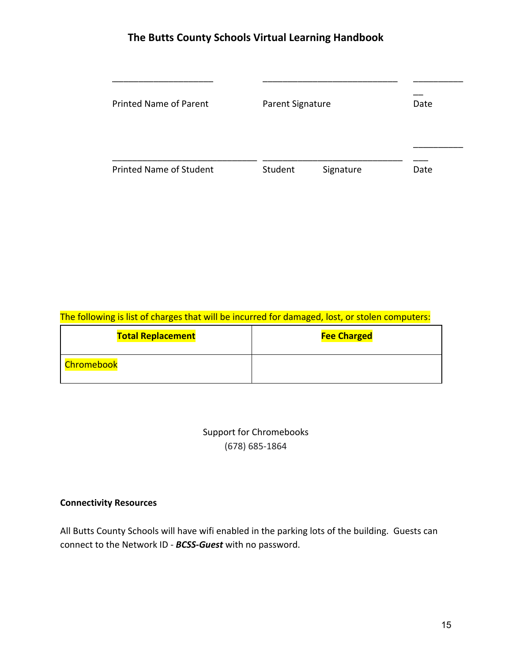| <b>Printed Name of Parent</b>  | <b>Parent Signature</b> |           | Date |
|--------------------------------|-------------------------|-----------|------|
| <b>Printed Name of Student</b> | Student                 | Signature | Date |

## The following is list of charges that will be incurred for damaged, lost, or stolen computers:

| <b>Total Replacement</b> | <b>Fee Charged</b> |
|--------------------------|--------------------|
| <b>Chromebook</b>        |                    |

| Support for Chromebooks |  |
|-------------------------|--|
| $(678)$ 685-1864        |  |

### **Connectivity Resources**

All Butts County Schools will have wifi enabled in the parking lots of the building. Guests can connect to the Network ID - *BCSS-Guest* with no password.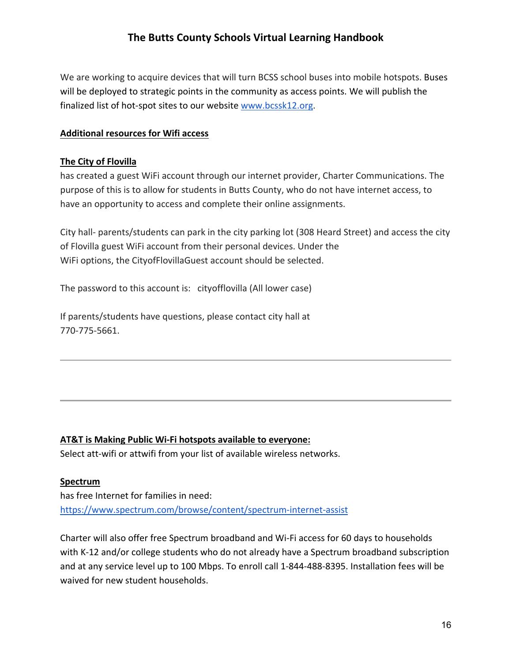We are working to acquire devices that will turn BCSS school buses into mobile hotspots. Buses will be deployed to strategic points in the community as access points. We will publish the finalized list of hot-spot sites to our website [www.bcssk12.org.](http://www.bcssk12.org/)

### **Additional resources for Wifi access**

### **The City of Flovilla**

has created a guest WiFi account through our internet provider, Charter Communications. The purpose of this is to allow for students in Butts County, who do not have internet access, to have an opportunity to access and complete their online assignments.

City hall- parents/students can park in the city parking lot (308 Heard Street) and access the city of Flovilla guest WiFi account from their personal devices. Under the WiFi options, the CityofFlovillaGuest account should be selected.

The password to this account is: cityofflovilla (All lower case)

If parents/students have questions, please contact city hall at 770-775-5661.

### **AT&T is Making Public Wi-Fi hotspots available to everyone:**

Select att-wifi or attwifi from your list of available wireless networks.

### **Spectrum**

has free Internet for families in need: <https://www.spectrum.com/browse/content/spectrum-internet-assist>

Charter will also offer free Spectrum broadband and Wi-Fi access for 60 days to households with K-12 and/or college students who do not already have a Spectrum broadband subscription and at any service level up to 100 Mbps. To enroll call 1-844-488-8395. Installation fees will be waived for new student households.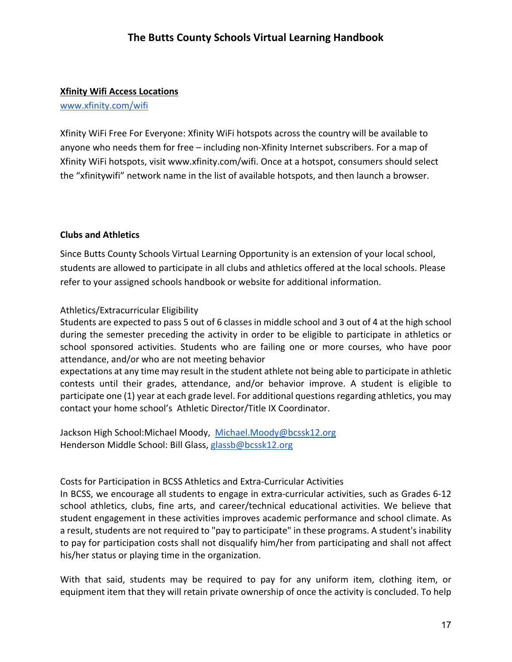#### **Xfinity Wifi Access Locations**

[www.xfinity.com/wifi](http://www.xfinity.com/wifi)

Xfinity WiFi Free For Everyone: Xfinity WiFi hotspots across the country will be available to anyone who needs them for free – including non-Xfinity Internet subscribers. For a map of Xfinity WiFi hotspots, visit www.xfinity.com/wifi. Once at a hotspot, consumers should select the "xfinitywifi" network name in the list of available hotspots, and then launch a browser.

#### <span id="page-16-0"></span>**Clubs and Athletics**

Since Butts County Schools Virtual Learning Opportunity is an extension of your local school, students are allowed to participate in all clubs and athletics offered at the local schools. Please refer to your assigned schools handbook or website for additional information.

#### Athletics/Extracurricular Eligibility

Students are expected to pass 5 out of 6 classes in middle school and 3 out of 4 at the high school during the semester preceding the activity in order to be eligible to participate in athletics or school sponsored activities. Students who are failing one or more courses, who have poor attendance, and/or who are not meeting behavior

expectations at any time may result in the student athlete not being able to participate in athletic contests until their grades, attendance, and/or behavior improve. A student is eligible to participate one (1) year at each grade level. For additional questions regarding athletics, you may contact your home school's Athletic Director/Title IX Coordinator.

Jackson High School:Michael Moody, [Michael.Moody@bcssk12.org](mailto:Michael.Moody@bcssk12.org) Henderson Middle School: Bill Glass, [glassb@bcssk12.org](mailto:glassb@bcssk12.org)

#### Costs for Participation in BCSS Athletics and Extra-Curricular Activities

In BCSS, we encourage all students to engage in extra-curricular activities, such as Grades 6-12 school athletics, clubs, fine arts, and career/technical educational activities. We believe that student engagement in these activities improves academic performance and school climate. As a result, students are not required to "pay to participate" in these programs. A student's inability to pay for participation costs shall not disqualify him/her from participating and shall not affect his/her status or playing time in the organization.

With that said, students may be required to pay for any uniform item, clothing item, or equipment item that they will retain private ownership of once the activity is concluded. To help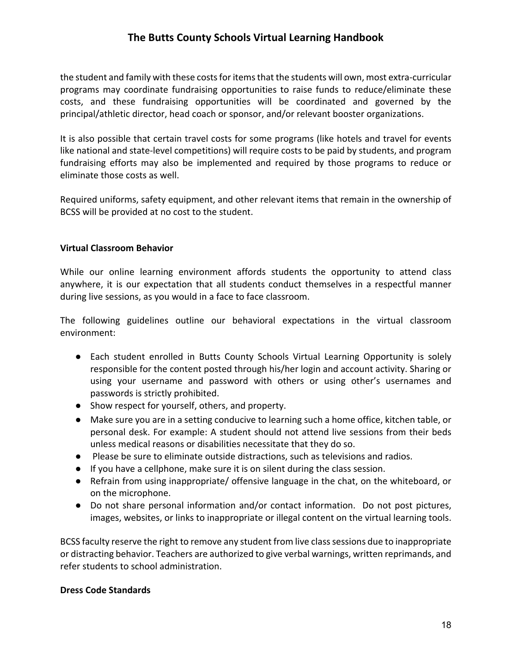the student and family with these costs for items that the students will own, most extra-curricular programs may coordinate fundraising opportunities to raise funds to reduce/eliminate these costs, and these fundraising opportunities will be coordinated and governed by the principal/athletic director, head coach or sponsor, and/or relevant booster organizations.

It is also possible that certain travel costs for some programs (like hotels and travel for events like national and state-level competitions) will require costs to be paid by students, and program fundraising efforts may also be implemented and required by those programs to reduce or eliminate those costs as well.

Required uniforms, safety equipment, and other relevant items that remain in the ownership of BCSS will be provided at no cost to the student.

#### **Virtual Classroom Behavior**

While our online learning environment affords students the opportunity to attend class anywhere, it is our expectation that all students conduct themselves in a respectful manner during live sessions, as you would in a face to face classroom.

The following guidelines outline our behavioral expectations in the virtual classroom environment:

- Each student enrolled in Butts County Schools Virtual Learning Opportunity is solely responsible for the content posted through his/her login and account activity. Sharing or using your username and password with others or using other's usernames and passwords is strictly prohibited.
- Show respect for yourself, others, and property.
- Make sure you are in a setting conducive to learning such a home office, kitchen table, or personal desk. For example: A student should not attend live sessions from their beds unless medical reasons or disabilities necessitate that they do so.
- Please be sure to eliminate outside distractions, such as televisions and radios.
- If you have a cellphone, make sure it is on silent during the class session.
- Refrain from using inappropriate/ offensive language in the chat, on the whiteboard, or on the microphone.
- Do not share personal information and/or contact information. Do not post pictures, images, websites, or links to inappropriate or illegal content on the virtual learning tools.

BCSS faculty reserve the right to remove any student from live class sessions due to inappropriate or distracting behavior. Teachers are authorized to give verbal warnings, written reprimands, and refer students to school administration.

#### **Dress Code Standards**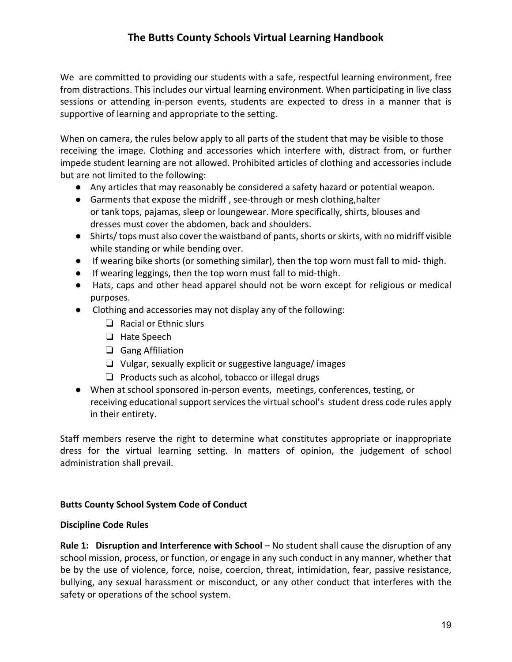We are committed to providing our students with a safe, respectful learning environment, free from distractions. This includes our virtual learning environment. When participating in live class sessions or attending in-person events, students are expected to dress in a manner that is supportive of learning and appropriate to the setting.

When on camera, the rules below apply to all parts of the student that may be visible to those receiving the image. Clothing and accessories which interfere with, distract from, or further impede student learning are not allowed. Prohibited articles of clothing and accessories include but are not limited to the following:

- Any articles that may reasonably be considered a safety hazard or potential weapon.
- Garments that expose the midriff , see-through or mesh clothing,halter or tank tops, pajamas, sleep or loungewear. More specifically, shirts, blouses and dresses must cover the abdomen, back and shoulders.
- Shirts/ tops must also cover the waistband of pants, shorts or skirts, with no midriff visible while standing or while bending over.
- If wearing bike shorts (or something similar), then the top worn must fall to mid- thigh.
- If wearing leggings, then the top worn must fall to mid-thigh.
- Hats, caps and other head apparel should not be worn except for religious or medical purposes.
- Clothing and accessories may not display any of the following:
	- ❏ Racial or Ethnic slurs
	- ❏ Hate Speech
	- ❏ Gang Affiliation
	- ❏ Vulgar, sexually explicit or suggestive language/ images
	- ❏ Products such as alcohol, tobacco or illegal drugs
- When at school sponsored in-person events, meetings, conferences, testing, or receiving educational support services the virtual school's student dress code rules apply in their entirety.

Staff members reserve the right to determine what constitutes appropriate or inappropriate dress for the virtual learning setting. In matters of opinion, the judgement of school administration shall prevail.

#### **Butts County School System Code of Conduct**

#### **Discipline Code Rules**

**Rule 1: Disruption and Interference with School – No student shall cause the disruption of any** school mission, process, or function, or engage in any such conduct in any manner, whether that be by the use of violence, force, noise, coercion, threat, intimidation, fear, passive resistance, bullying, any sexual harassment or misconduct, or any other conduct that interferes with the safety or operations of the school system.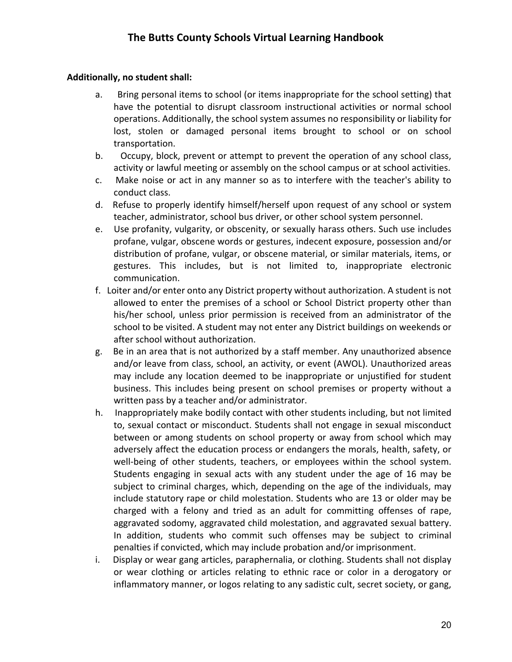### **Additionally, no student shall:**

- a. Bring personal items to school (or items inappropriate for the school setting) that have the potential to disrupt classroom instructional activities or normal school operations. Additionally, the school system assumes no responsibility or liability for lost, stolen or damaged personal items brought to school or on school transportation.
- b. Occupy, block, prevent or attempt to prevent the operation of any school class, activity or lawful meeting or assembly on the school campus or at school activities.
- c. Make noise or act in any manner so as to interfere with the teacher's ability to conduct class.
- d. Refuse to properly identify himself/herself upon request of any school or system teacher, administrator, school bus driver, or other school system personnel.
- e. Use profanity, vulgarity, or obscenity, or sexually harass others. Such use includes profane, vulgar, obscene words or gestures, indecent exposure, possession and/or distribution of profane, vulgar, or obscene material, or similar materials, items, or gestures. This includes, but is not limited to, inappropriate electronic communication.
- f. Loiter and/or enter onto any District property without authorization. A student is not allowed to enter the premises of a school or School District property other than his/her school, unless prior permission is received from an administrator of the school to be visited. A student may not enter any District buildings on weekends or after school without authorization.
- g. Be in an area that is not authorized by a staff member. Any unauthorized absence and/or leave from class, school, an activity, or event (AWOL). Unauthorized areas may include any location deemed to be inappropriate or unjustified for student business. This includes being present on school premises or property without a written pass by a teacher and/or administrator.
- h. Inappropriately make bodily contact with other students including, but not limited to, sexual contact or misconduct. Students shall not engage in sexual misconduct between or among students on school property or away from school which may adversely affect the education process or endangers the morals, health, safety, or well-being of other students, teachers, or employees within the school system. Students engaging in sexual acts with any student under the age of 16 may be subject to criminal charges, which, depending on the age of the individuals, may include statutory rape or child molestation. Students who are 13 or older may be charged with a felony and tried as an adult for committing offenses of rape, aggravated sodomy, aggravated child molestation, and aggravated sexual battery. In addition, students who commit such offenses may be subject to criminal penalties if convicted, which may include probation and/or imprisonment.
- i. Display or wear gang articles, paraphernalia, or clothing. Students shall not display or wear clothing or articles relating to ethnic race or color in a derogatory or inflammatory manner, or logos relating to any sadistic cult, secret society, or gang,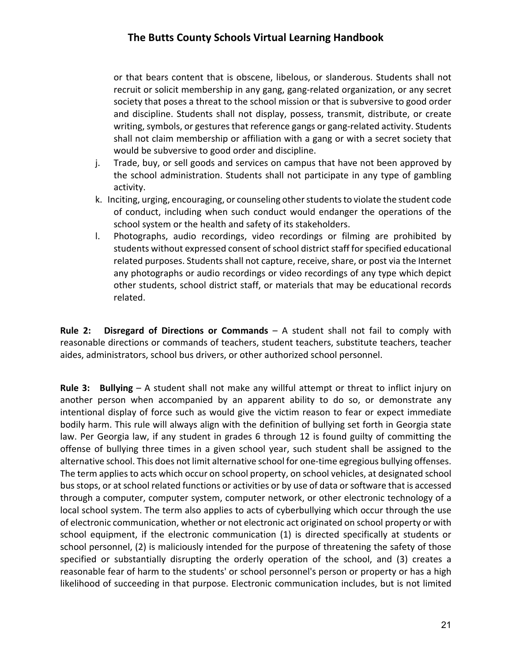or that bears content that is obscene, libelous, or slanderous. Students shall not recruit or solicit membership in any gang, gang-related organization, or any secret society that poses a threat to the school mission or that is subversive to good order and discipline. Students shall not display, possess, transmit, distribute, or create writing, symbols, or gestures that reference gangs or gang-related activity. Students shall not claim membership or affiliation with a gang or with a secret society that would be subversive to good order and discipline.

- j. Trade, buy, or sell goods and services on campus that have not been approved by the school administration. Students shall not participate in any type of gambling activity.
- k. Inciting, urging, encouraging, or counseling other students to violate the student code of conduct, including when such conduct would endanger the operations of the school system or the health and safety of its stakeholders.
- l. Photographs, audio recordings, video recordings or filming are prohibited by students without expressed consent of school district staff for specified educational related purposes. Students shall not capture, receive, share, or post via the Internet any photographs or audio recordings or video recordings of any type which depict other students, school district staff, or materials that may be educational records related.

**Rule 2: Disregard of Directions or Commands** – A student shall not fail to comply with reasonable directions or commands of teachers, student teachers, substitute teachers, teacher aides, administrators, school bus drivers, or other authorized school personnel.

**Rule 3: Bullying** – A student shall not make any willful attempt or threat to inflict injury on another person when accompanied by an apparent ability to do so, or demonstrate any intentional display of force such as would give the victim reason to fear or expect immediate bodily harm. This rule will always align with the definition of bullying set forth in Georgia state law. Per Georgia law, if any student in grades 6 through 12 is found guilty of committing the offense of bullying three times in a given school year, such student shall be assigned to the alternative school. This does not limit alternative school for one-time egregious bullying offenses. The term applies to acts which occur on school property, on school vehicles, at designated school bus stops, or at school related functions or activities or by use of data or software that is accessed through a computer, computer system, computer network, or other electronic technology of a local school system. The term also applies to acts of cyberbullying which occur through the use of electronic communication, whether or not electronic act originated on school property or with school equipment, if the electronic communication (1) is directed specifically at students or school personnel, (2) is maliciously intended for the purpose of threatening the safety of those specified or substantially disrupting the orderly operation of the school, and (3) creates a reasonable fear of harm to the students' or school personnel's person or property or has a high likelihood of succeeding in that purpose. Electronic communication includes, but is not limited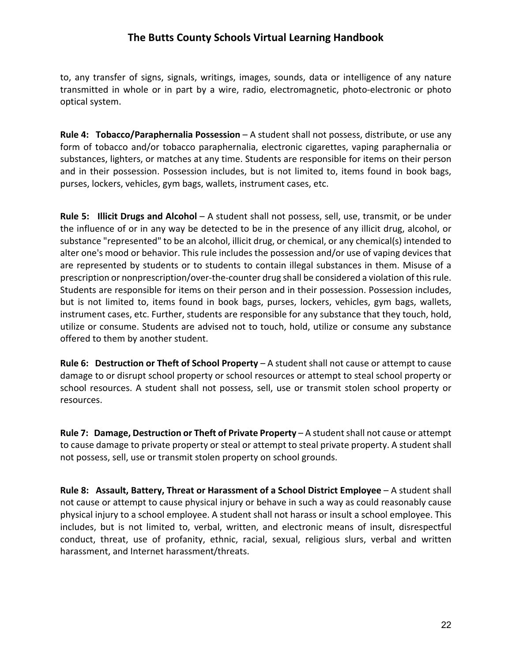to, any transfer of signs, signals, writings, images, sounds, data or intelligence of any nature transmitted in whole or in part by a wire, radio, electromagnetic, photo-electronic or photo optical system.

**Rule 4: Tobacco/Paraphernalia Possession** – A student shall not possess, distribute, or use any form of tobacco and/or tobacco paraphernalia, electronic cigarettes, vaping paraphernalia or substances, lighters, or matches at any time. Students are responsible for items on their person and in their possession. Possession includes, but is not limited to, items found in book bags, purses, lockers, vehicles, gym bags, wallets, instrument cases, etc.

**Rule 5: Illicit Drugs and Alcohol** – A student shall not possess, sell, use, transmit, or be under the influence of or in any way be detected to be in the presence of any illicit drug, alcohol, or substance "represented" to be an alcohol, illicit drug, or chemical, or any chemical(s) intended to alter one's mood or behavior. This rule includes the possession and/or use of vaping devices that are represented by students or to students to contain illegal substances in them. Misuse of a prescription or nonprescription/over-the-counter drug shall be considered a violation of this rule. Students are responsible for items on their person and in their possession. Possession includes, but is not limited to, items found in book bags, purses, lockers, vehicles, gym bags, wallets, instrument cases, etc. Further, students are responsible for any substance that they touch, hold, utilize or consume. Students are advised not to touch, hold, utilize or consume any substance offered to them by another student.

**Rule 6: Destruction or Theft of School Property** – A student shall not cause or attempt to cause damage to or disrupt school property or school resources or attempt to steal school property or school resources. A student shall not possess, sell, use or transmit stolen school property or resources.

**Rule 7: Damage, Destruction or Theft of Private Property** – A student shall not cause or attempt to cause damage to private property or steal or attempt to steal private property. A student shall not possess, sell, use or transmit stolen property on school grounds.

**Rule 8: Assault, Battery, Threat or Harassment of a School District Employee** – A student shall not cause or attempt to cause physical injury or behave in such a way as could reasonably cause physical injury to a school employee. A student shall not harass or insult a school employee. This includes, but is not limited to, verbal, written, and electronic means of insult, disrespectful conduct, threat, use of profanity, ethnic, racial, sexual, religious slurs, verbal and written harassment, and Internet harassment/threats.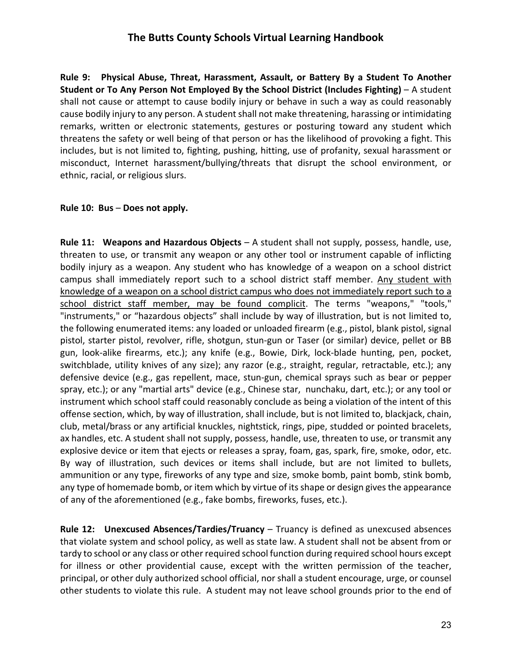**Rule 9: Physical Abuse, Threat, Harassment, Assault, or Battery By a Student To Another Student or To Any Person Not Employed By the School District (Includes Fighting)** – A student shall not cause or attempt to cause bodily injury or behave in such a way as could reasonably cause bodily injury to any person. A student shall not make threatening, harassing or intimidating remarks, written or electronic statements, gestures or posturing toward any student which threatens the safety or well being of that person or has the likelihood of provoking a fight. This includes, but is not limited to, fighting, pushing, hitting, use of profanity, sexual harassment or misconduct, Internet harassment/bullying/threats that disrupt the school environment, or ethnic, racial, or religious slurs.

#### **Rule 10: Bus** – **Does not apply.**

**Rule 11: Weapons and Hazardous Objects** – A student shall not supply, possess, handle, use, threaten to use, or transmit any weapon or any other tool or instrument capable of inflicting bodily injury as a weapon. Any student who has knowledge of a weapon on a school district campus shall immediately report such to a school district staff member. Any student with knowledge of a weapon on a school district campus who does not immediately report such to a school district staff member, may be found complicit. The terms "weapons," "tools," "instruments," or "hazardous objects" shall include by way of illustration, but is not limited to, the following enumerated items: any loaded or unloaded firearm (e.g., pistol, blank pistol, signal pistol, starter pistol, revolver, rifle, shotgun, stun-gun or Taser (or similar) device, pellet or BB gun, look-alike firearms, etc.); any knife (e.g., Bowie, Dirk, lock-blade hunting, pen, pocket, switchblade, utility knives of any size); any razor (e.g., straight, regular, retractable, etc.); any defensive device (e.g., gas repellent, mace, stun-gun, chemical sprays such as bear or pepper spray, etc.); or any "martial arts" device (e.g., Chinese star, nunchaku, dart, etc.); or any tool or instrument which school staff could reasonably conclude as being a violation of the intent of this offense section, which, by way of illustration, shall include, but is not limited to, blackjack, chain, club, metal/brass or any artificial knuckles, nightstick, rings, pipe, studded or pointed bracelets, ax handles, etc. A student shall not supply, possess, handle, use, threaten to use, or transmit any explosive device or item that ejects or releases a spray, foam, gas, spark, fire, smoke, odor, etc. By way of illustration, such devices or items shall include, but are not limited to bullets, ammunition or any type, fireworks of any type and size, smoke bomb, paint bomb, stink bomb, any type of homemade bomb, or item which by virtue of its shape or design gives the appearance of any of the aforementioned (e.g., fake bombs, fireworks, fuses, etc.).

**Rule 12: Unexcused Absences/Tardies/Truancy** – Truancy is defined as unexcused absences that violate system and school policy, as well as state law. A student shall not be absent from or tardy to school or any class or other required school function during required school hours except for illness or other providential cause, except with the written permission of the teacher, principal, or other duly authorized school official, nor shall a student encourage, urge, or counsel other students to violate this rule. A student may not leave school grounds prior to the end of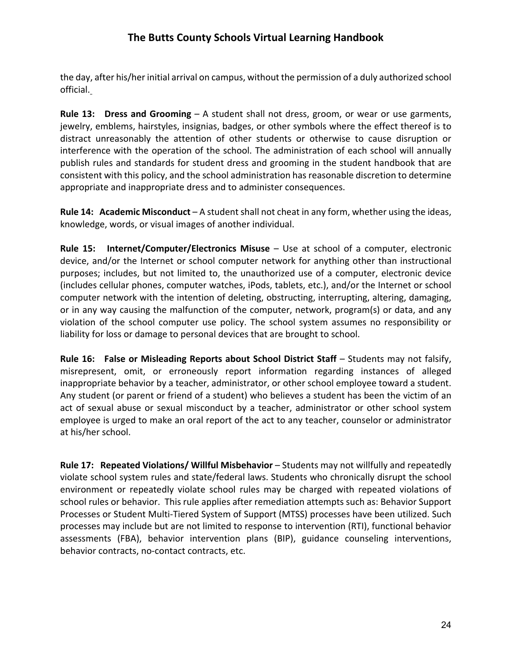the day, after his/her initial arrival on campus, without the permission of a duly authorized school official.

**Rule 13: Dress and Grooming** – A student shall not dress, groom, or wear or use garments, jewelry, emblems, hairstyles, insignias, badges, or other symbols where the effect thereof is to distract unreasonably the attention of other students or otherwise to cause disruption or interference with the operation of the school. The administration of each school will annually publish rules and standards for student dress and grooming in the student handbook that are consistent with this policy, and the school administration has reasonable discretion to determine appropriate and inappropriate dress and to administer consequences.

**Rule 14: Academic Misconduct** – A student shall not cheat in any form, whether using the ideas, knowledge, words, or visual images of another individual.

**Rule 15: Internet/Computer/Electronics Misuse** – Use at school of a computer, electronic device, and/or the Internet or school computer network for anything other than instructional purposes; includes, but not limited to, the unauthorized use of a computer, electronic device (includes cellular phones, computer watches, iPods, tablets, etc.), and/or the Internet or school computer network with the intention of deleting, obstructing, interrupting, altering, damaging, or in any way causing the malfunction of the computer, network, program(s) or data, and any violation of the school computer use policy. The school system assumes no responsibility or liability for loss or damage to personal devices that are brought to school.

**Rule 16: False or Misleading Reports about School District Staff** – Students may not falsify, misrepresent, omit, or erroneously report information regarding instances of alleged inappropriate behavior by a teacher, administrator, or other school employee toward a student. Any student (or parent or friend of a student) who believes a student has been the victim of an act of sexual abuse or sexual misconduct by a teacher, administrator or other school system employee is urged to make an oral report of the act to any teacher, counselor or administrator at his/her school.

**Rule 17: Repeated Violations/ Willful Misbehavior** – Students may not willfully and repeatedly violate school system rules and state/federal laws. Students who chronically disrupt the school environment or repeatedly violate school rules may be charged with repeated violations of school rules or behavior. This rule applies after remediation attempts such as: Behavior Support Processes or Student Multi-Tiered System of Support (MTSS) processes have been utilized. Such processes may include but are not limited to response to intervention (RTI), functional behavior assessments (FBA), behavior intervention plans (BIP), guidance counseling interventions, behavior contracts, no-contact contracts, etc.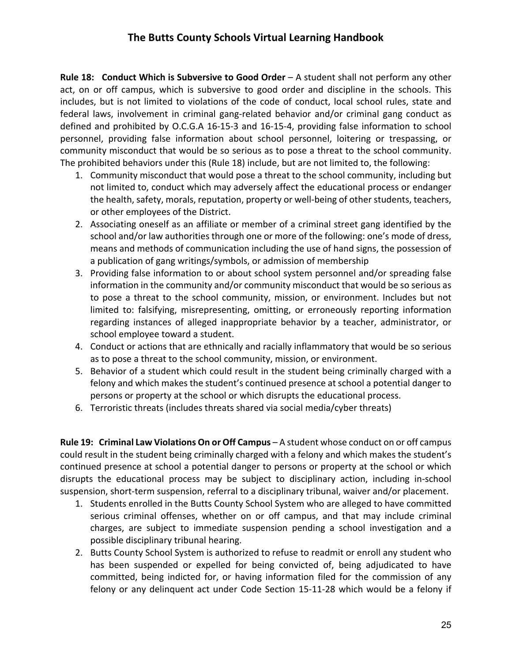**Rule 18: Conduct Which is Subversive to Good Order** – A student shall not perform any other act, on or off campus, which is subversive to good order and discipline in the schools. This includes, but is not limited to violations of the code of conduct, local school rules, state and federal laws, involvement in criminal gang-related behavior and/or criminal gang conduct as defined and prohibited by O.C.G.A 16-15-3 and 16-15-4, providing false information to school personnel, providing false information about school personnel, loitering or trespassing, or community misconduct that would be so serious as to pose a threat to the school community. The prohibited behaviors under this (Rule 18) include, but are not limited to, the following:

- 1. Community misconduct that would pose a threat to the school community, including but not limited to, conduct which may adversely affect the educational process or endanger the health, safety, morals, reputation, property or well-being of other students, teachers, or other employees of the District.
- 2. Associating oneself as an affiliate or member of a criminal street gang identified by the school and/or law authorities through one or more of the following: one's mode of dress, means and methods of communication including the use of hand signs, the possession of a publication of gang writings/symbols, or admission of membership
- 3. Providing false information to or about school system personnel and/or spreading false information in the community and/or community misconduct that would be so serious as to pose a threat to the school community, mission, or environment. Includes but not limited to: falsifying, misrepresenting, omitting, or erroneously reporting information regarding instances of alleged inappropriate behavior by a teacher, administrator, or school employee toward a student.
- 4. Conduct or actions that are ethnically and racially inflammatory that would be so serious as to pose a threat to the school community, mission, or environment.
- 5. Behavior of a student which could result in the student being criminally charged with a felony and which makes the student's continued presence at school a potential danger to persons or property at the school or which disrupts the educational process.
- 6. Terroristic threats (includes threats shared via social media/cyber threats)

Rule 19: Criminal Law Violations On or Off Campus - A student whose conduct on or off campus could result in the student being criminally charged with a felony and which makes the student's continued presence at school a potential danger to persons or property at the school or which disrupts the educational process may be subject to disciplinary action, including in-school suspension, short-term suspension, referral to a disciplinary tribunal, waiver and/or placement.

- 1. Students enrolled in the Butts County School System who are alleged to have committed serious criminal offenses, whether on or off campus, and that may include criminal charges, are subject to immediate suspension pending a school investigation and a possible disciplinary tribunal hearing.
- 2. Butts County School System is authorized to refuse to readmit or enroll any student who has been suspended or expelled for being convicted of, being adjudicated to have committed, being indicted for, or having information filed for the commission of any felony or any delinquent act under Code Section 15-11-28 which would be a felony if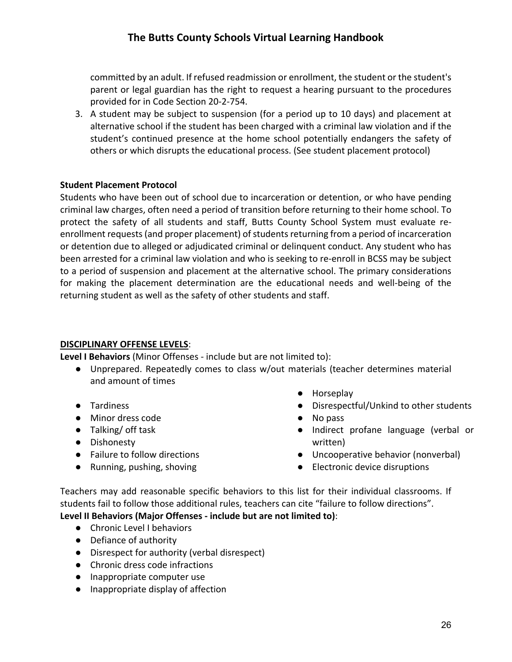committed by an adult. If refused readmission or enrollment, the student or the student's parent or legal guardian has the right to request a hearing pursuant to the procedures provided for in Code Section 20-2-754.

3. A student may be subject to suspension (for a period up to 10 days) and placement at alternative school if the student has been charged with a criminal law violation and if the student's continued presence at the home school potentially endangers the safety of others or which disrupts the educational process. (See student placement protocol)

#### **Student Placement Protocol**

Students who have been out of school due to incarceration or detention, or who have pending criminal law charges, often need a period of transition before returning to their home school. To protect the safety of all students and staff, Butts County School System must evaluate reenrollment requests (and proper placement) of students returning from a period of incarceration or detention due to alleged or adjudicated criminal or delinquent conduct. Any student who has been arrested for a criminal law violation and who is seeking to re-enroll in BCSS may be subject to a period of suspension and placement at the alternative school. The primary considerations for making the placement determination are the educational needs and well-being of the returning student as well as the safety of other students and staff.

### **DISCIPLINARY OFFENSE LEVELS**:

**Level I Behaviors** (Minor Offenses - include but are not limited to):

- Unprepared. Repeatedly comes to class w/out materials (teacher determines material and amount of times
- Tardiness
- Minor dress code
- Talking/ off task
- Dishonesty
- Failure to follow directions
- Running, pushing, shoving
- Horseplay
- Disrespectful/Unkind to other students
- No pass
- Indirect profane language (verbal or written)
- Uncooperative behavior (nonverbal)
- Electronic device disruptions

Teachers may add reasonable specific behaviors to this list for their individual classrooms. If students fail to follow those additional rules, teachers can cite "failure to follow directions".

### **Level II Behaviors (Major Offenses - include but are not limited to)**:

- Chronic Level I behaviors
- Defiance of authority
- Disrespect for authority (verbal disrespect)
- Chronic dress code infractions
- Inappropriate computer use
- Inappropriate display of affection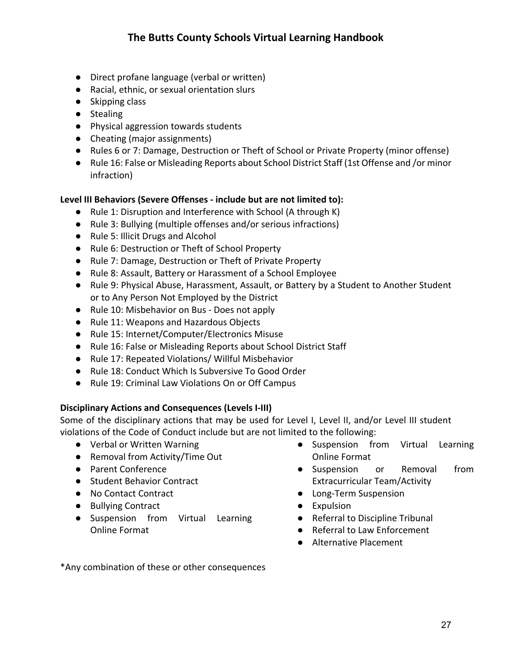- Direct profane language (verbal or written)
- Racial, ethnic, or sexual orientation slurs
- Skipping class
- Stealing
- Physical aggression towards students
- Cheating (major assignments)
- Rules 6 or 7: Damage, Destruction or Theft of School or Private Property (minor offense)
- Rule 16: False or Misleading Reports about School District Staff (1st Offense and /or minor infraction)

### **Level III Behaviors (Severe Offenses - include but are not limited to):**

- Rule 1: Disruption and Interference with School (A through K)
- Rule 3: Bullying (multiple offenses and/or serious infractions)
- Rule 5: Illicit Drugs and Alcohol
- Rule 6: Destruction or Theft of School Property
- Rule 7: Damage, Destruction or Theft of Private Property
- Rule 8: Assault, Battery or Harassment of a School Employee
- Rule 9: Physical Abuse, Harassment, Assault, or Battery by a Student to Another Student or to Any Person Not Employed by the District
- Rule 10: Misbehavior on Bus Does not apply
- Rule 11: Weapons and Hazardous Objects
- Rule 15: Internet/Computer/Electronics Misuse
- Rule 16: False or Misleading Reports about School District Staff
- Rule 17: Repeated Violations/ Willful Misbehavior
- Rule 18: Conduct Which Is Subversive To Good Order
- Rule 19: Criminal Law Violations On or Off Campus

### **Disciplinary Actions and Consequences (Levels I-III)**

Some of the disciplinary actions that may be used for Level I, Level II, and/or Level III student violations of the Code of Conduct include but are not limited to the following:

- Verbal or Written Warning
- Removal from Activity/Time Out
- Parent Conference
- Student Behavior Contract
- No Contact Contract
- Bullying Contract
- Suspension from Virtual Learning Online Format
- Suspension from Virtual Learning Online Format
- Suspension or Removal from Extracurricular Team/Activity
- Long-Term Suspension
- Expulsion
- Referral to Discipline Tribunal
- Referral to Law Enforcement
- Alternative Placement

\*Any combination of these or other consequences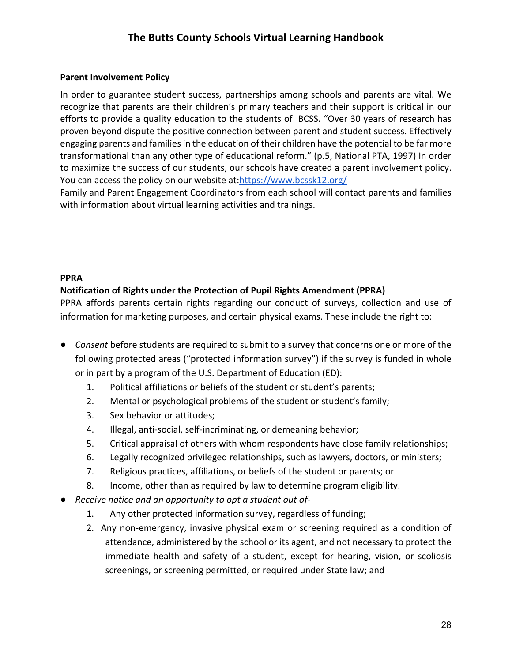### <span id="page-27-0"></span>**Parent Involvement Policy**

In order to guarantee student success, partnerships among schools and parents are vital. We recognize that parents are their children's primary teachers and their support is critical in our efforts to provide a quality education to the students of BCSS. "Over 30 years of research has proven beyond dispute the positive connection between parent and student success. Effectively engaging parents and families in the education of their children have the potential to be far more transformational than any other type of educational reform." (p.5, National PTA, 1997) In order to maximize the success of our students, our schools have created a parent involvement policy. You can access the policy on our website at[:https://www.bcssk12.org/](https://www.bcssk12.org/) 

Family and Parent Engagement Coordinators from each school will contact parents and families with information about virtual learning activities and trainings.

#### **PPRA**

### **Notification of Rights under the Protection of Pupil Rights Amendment (PPRA)**

PPRA affords parents certain rights regarding our conduct of surveys, collection and use of information for marketing purposes, and certain physical exams. These include the right to:

- *Consent* before students are required to submit to a survey that concerns one or more of the following protected areas ("protected information survey") if the survey is funded in whole or in part by a program of the U.S. Department of Education (ED):
	- 1. Political affiliations or beliefs of the student or student's parents;
	- 2. Mental or psychological problems of the student or student's family;
	- 3. Sex behavior or attitudes;
	- 4. Illegal, anti-social, self-incriminating, or demeaning behavior;
	- 5. Critical appraisal of others with whom respondents have close family relationships;
	- 6. Legally recognized privileged relationships, such as lawyers, doctors, or ministers;
	- 7. Religious practices, affiliations, or beliefs of the student or parents; or
	- 8. Income, other than as required by law to determine program eligibility.
- *Receive notice and an opportunity to opt a student out of-*
	- 1. Any other protected information survey, regardless of funding;
	- 2. Any non-emergency, invasive physical exam or screening required as a condition of attendance, administered by the school or its agent, and not necessary to protect the immediate health and safety of a student, except for hearing, vision, or scoliosis screenings, or screening permitted, or required under State law; and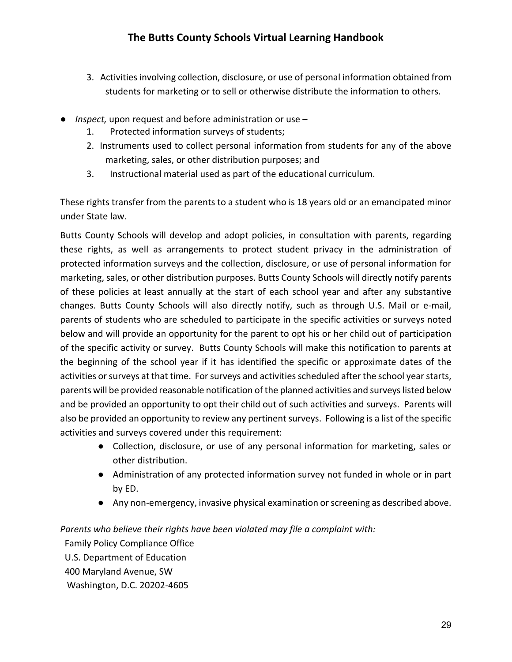- 3. Activities involving collection, disclosure, or use of personal information obtained from students for marketing or to sell or otherwise distribute the information to others.
- *Inspect,* upon request and before administration or use
	- 1. Protected information surveys of students;
	- 2. Instruments used to collect personal information from students for any of the above marketing, sales, or other distribution purposes; and
	- 3. Instructional material used as part of the educational curriculum.

These rights transfer from the parents to a student who is 18 years old or an emancipated minor under State law.

Butts County Schools will develop and adopt policies, in consultation with parents, regarding these rights, as well as arrangements to protect student privacy in the administration of protected information surveys and the collection, disclosure, or use of personal information for marketing, sales, or other distribution purposes. Butts County Schools will directly notify parents of these policies at least annually at the start of each school year and after any substantive changes. Butts County Schools will also directly notify, such as through U.S. Mail or e-mail, parents of students who are scheduled to participate in the specific activities or surveys noted below and will provide an opportunity for the parent to opt his or her child out of participation of the specific activity or survey. Butts County Schools will make this notification to parents at the beginning of the school year if it has identified the specific or approximate dates of the activities or surveys at that time. For surveys and activities scheduled after the school year starts, parents will be provided reasonable notification of the planned activities and surveys listed below and be provided an opportunity to opt their child out of such activities and surveys. Parents will also be provided an opportunity to review any pertinent surveys. Following is a list of the specific activities and surveys covered under this requirement:

- Collection, disclosure, or use of any personal information for marketing, sales or other distribution.
- Administration of any protected information survey not funded in whole or in part by ED.
- Any non-emergency, invasive physical examination or screening as described above.

*Parents who believe their rights have been violated may file a complaint with:*

**Family Policy Compliance Office**  U.S. Department of Education 400 Maryland Avenue, SW Washington, D.C. 20202-4605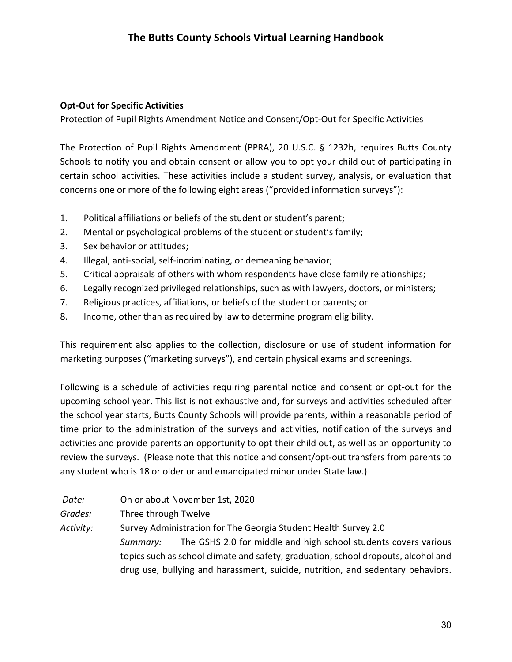### **Opt-Out for Specific Activities**

Protection of Pupil Rights Amendment Notice and Consent/Opt-Out for Specific Activities

The Protection of Pupil Rights Amendment (PPRA), 20 U.S.C. § 1232h, requires Butts County Schools to notify you and obtain consent or allow you to opt your child out of participating in certain school activities. These activities include a student survey, analysis, or evaluation that concerns one or more of the following eight areas ("provided information surveys"):

- 1. Political affiliations or beliefs of the student or student's parent;
- 2. Mental or psychological problems of the student or student's family;
- 3. Sex behavior or attitudes;
- 4. Illegal, anti-social, self-incriminating, or demeaning behavior;
- 5. Critical appraisals of others with whom respondents have close family relationships;
- 6. Legally recognized privileged relationships, such as with lawyers, doctors, or ministers;
- 7. Religious practices, affiliations, or beliefs of the student or parents; or
- 8. Income, other than as required by law to determine program eligibility.

This requirement also applies to the collection, disclosure or use of student information for marketing purposes ("marketing surveys"), and certain physical exams and screenings.

Following is a schedule of activities requiring parental notice and consent or opt-out for the upcoming school year. This list is not exhaustive and, for surveys and activities scheduled after the school year starts, Butts County Schools will provide parents, within a reasonable period of time prior to the administration of the surveys and activities, notification of the surveys and activities and provide parents an opportunity to opt their child out, as well as an opportunity to review the surveys. (Please note that this notice and consent/opt-out transfers from parents to any student who is 18 or older or and emancipated minor under State law.)

- *Date:* On or about November 1st, 2020
- *Grades:* Three through Twelve

*Activity:* Survey Administration for The Georgia Student Health Survey 2.0 *Summary:* The GSHS 2.0 for middle and high school students covers various topics such as school climate and safety, graduation, school dropouts, alcohol and drug use, bullying and harassment, suicide, nutrition, and sedentary behaviors.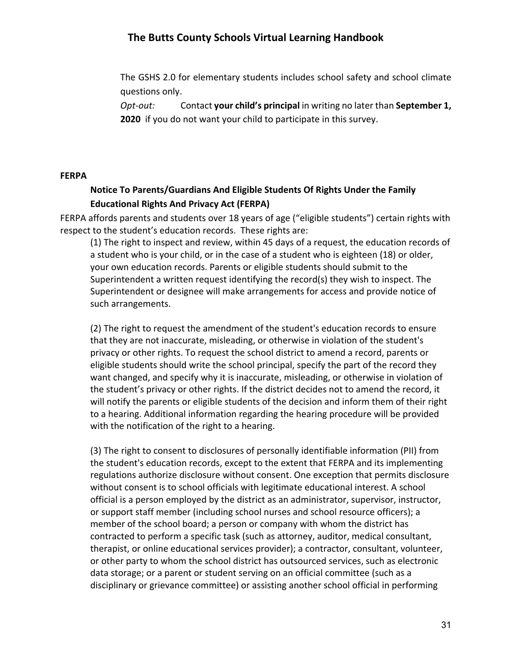The GSHS 2.0 for elementary students includes school safety and school climate questions only.

*Opt-out:* Contact **your child's principal** in writing no later than **September 1, 2020** if you do not want your child to participate in this survey.

#### **FERPA**

### **Notice To Parents/Guardians And Eligible Students Of Rights Under the Family Educational Rights And Privacy Act (FERPA)**

FERPA affords parents and students over 18 years of age ("eligible students") certain rights with respect to the student's education records. These rights are:

(1) The right to inspect and review, within 45 days of a request, the education records of a student who is your child, or in the case of a student who is eighteen (18) or older, your own education records. Parents or eligible students should submit to the Superintendent a written request identifying the record(s) they wish to inspect. The Superintendent or designee will make arrangements for access and provide notice of such arrangements.

(2) The right to request the amendment of the student's education records to ensure that they are not inaccurate, misleading, or otherwise in violation of the student's privacy or other rights. To request the school district to amend a record, parents or eligible students should write the school principal, specify the part of the record they want changed, and specify why it is inaccurate, misleading, or otherwise in violation of the student's privacy or other rights. If the district decides not to amend the record, it will notify the parents or eligible students of the decision and inform them of their right to a hearing. Additional information regarding the hearing procedure will be provided with the notification of the right to a hearing.

(3) The right to consent to disclosures of personally identifiable information (PII) from the student's education records, except to the extent that FERPA and its implementing regulations authorize disclosure without consent. One exception that permits disclosure without consent is to school officials with legitimate educational interest. A school official is a person employed by the district as an administrator, supervisor, instructor, or support staff member (including school nurses and school resource officers); a member of the school board; a person or company with whom the district has contracted to perform a specific task (such as attorney, auditor, medical consultant, therapist, or online educational services provider); a contractor, consultant, volunteer, or other party to whom the school district has outsourced services, such as electronic data storage; or a parent or student serving on an official committee (such as a disciplinary or grievance committee) or assisting another school official in performing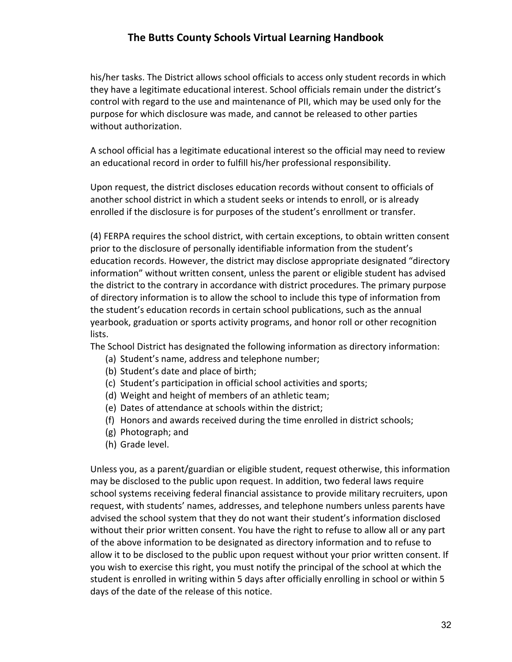his/her tasks. The District allows school officials to access only student records in which they have a legitimate educational interest. School officials remain under the district's control with regard to the use and maintenance of PII, which may be used only for the purpose for which disclosure was made, and cannot be released to other parties without authorization.

A school official has a legitimate educational interest so the official may need to review an educational record in order to fulfill his/her professional responsibility.

Upon request, the district discloses education records without consent to officials of another school district in which a student seeks or intends to enroll, or is already enrolled if the disclosure is for purposes of the student's enrollment or transfer.

(4) FERPA requires the school district, with certain exceptions, to obtain written consent prior to the disclosure of personally identifiable information from the student's education records. However, the district may disclose appropriate designated "directory information" without written consent, unless the parent or eligible student has advised the district to the contrary in accordance with district procedures. The primary purpose of directory information is to allow the school to include this type of information from the student's education records in certain school publications, such as the annual yearbook, graduation or sports activity programs, and honor roll or other recognition lists.

The School District has designated the following information as directory information:

- (a) Student's name, address and telephone number;
- (b) Student's date and place of birth;
- (c) Student's participation in official school activities and sports;
- (d) Weight and height of members of an athletic team;
- (e) Dates of attendance at schools within the district;
- (f) Honors and awards received during the time enrolled in district schools;
- (g) Photograph; and
- (h) Grade level.

Unless you, as a parent/guardian or eligible student, request otherwise, this information may be disclosed to the public upon request. In addition, two federal laws require school systems receiving federal financial assistance to provide military recruiters, upon request, with students' names, addresses, and telephone numbers unless parents have advised the school system that they do not want their student's information disclosed without their prior written consent. You have the right to refuse to allow all or any part of the above information to be designated as directory information and to refuse to allow it to be disclosed to the public upon request without your prior written consent. If you wish to exercise this right, you must notify the principal of the school at which the student is enrolled in writing within 5 days after officially enrolling in school or within 5 days of the date of the release of this notice.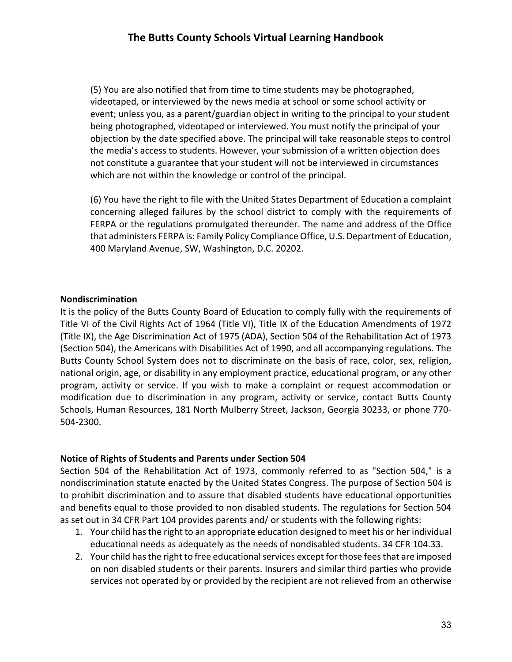(5) You are also notified that from time to time students may be photographed, videotaped, or interviewed by the news media at school or some school activity or event; unless you, as a parent/guardian object in writing to the principal to your student being photographed, videotaped or interviewed. You must notify the principal of your objection by the date specified above. The principal will take reasonable steps to control the media's access to students. However, your submission of a written objection does not constitute a guarantee that your student will not be interviewed in circumstances which are not within the knowledge or control of the principal.

(6) You have the right to file with the United States Department of Education a complaint concerning alleged failures by the school district to comply with the requirements of FERPA or the regulations promulgated thereunder. The name and address of the Office that administers FERPA is: Family Policy Compliance Office, U.S. Department of Education, 400 Maryland Avenue, SW, Washington, D.C. 20202.

#### **Nondiscrimination**

It is the policy of the Butts County Board of Education to comply fully with the requirements of Title VI of the Civil Rights Act of 1964 (Title VI), Title IX of the Education Amendments of 1972 (Title IX), the Age Discrimination Act of 1975 (ADA), Section 504 of the Rehabilitation Act of 1973 (Section 504), the Americans with Disabilities Act of 1990, and all accompanying regulations. The Butts County School System does not to discriminate on the basis of race, color, sex, religion, national origin, age, or disability in any employment practice, educational program, or any other program, activity or service. If you wish to make a complaint or request accommodation or modification due to discrimination in any program, activity or service, contact Butts County Schools, Human Resources, 181 North Mulberry Street, Jackson, Georgia 30233, or phone 770- 504-2300.

### **Notice of Rights of Students and Parents under Section 504**

Section 504 of the Rehabilitation Act of 1973, commonly referred to as "Section 504," is a nondiscrimination statute enacted by the United States Congress. The purpose of Section 504 is to prohibit discrimination and to assure that disabled students have educational opportunities and benefits equal to those provided to non disabled students. The regulations for Section 504 as set out in 34 CFR Part 104 provides parents and/ or students with the following rights:

- 1. Your child has the right to an appropriate education designed to meet his or her individual educational needs as adequately as the needs of nondisabled students. 34 CFR 104.33.
- 2. Your child has the right to free educational services except for those fees that are imposed on non disabled students or their parents. Insurers and similar third parties who provide services not operated by or provided by the recipient are not relieved from an otherwise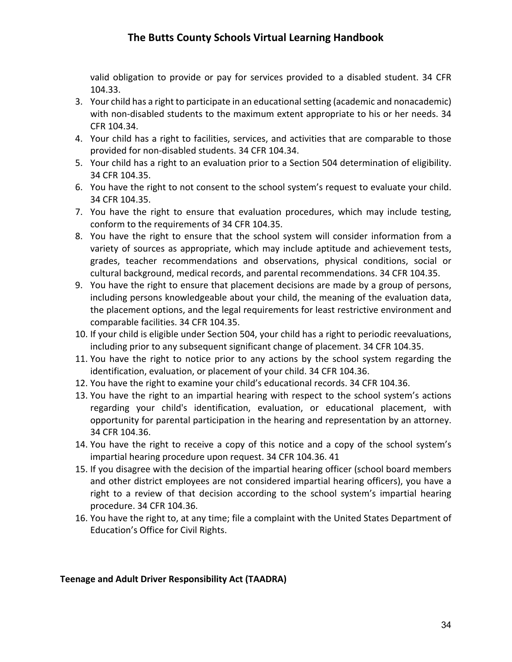valid obligation to provide or pay for services provided to a disabled student. 34 CFR 104.33.

- 3. Your child has a right to participate in an educational setting (academic and nonacademic) with non-disabled students to the maximum extent appropriate to his or her needs. 34 CFR 104.34.
- 4. Your child has a right to facilities, services, and activities that are comparable to those provided for non-disabled students. 34 CFR 104.34.
- 5. Your child has a right to an evaluation prior to a Section 504 determination of eligibility. 34 CFR 104.35.
- 6. You have the right to not consent to the school system's request to evaluate your child. 34 CFR 104.35.
- 7. You have the right to ensure that evaluation procedures, which may include testing, conform to the requirements of 34 CFR 104.35.
- 8. You have the right to ensure that the school system will consider information from a variety of sources as appropriate, which may include aptitude and achievement tests, grades, teacher recommendations and observations, physical conditions, social or cultural background, medical records, and parental recommendations. 34 CFR 104.35.
- 9. You have the right to ensure that placement decisions are made by a group of persons, including persons knowledgeable about your child, the meaning of the evaluation data, the placement options, and the legal requirements for least restrictive environment and comparable facilities. 34 CFR 104.35.
- 10. If your child is eligible under Section 504, your child has a right to periodic reevaluations, including prior to any subsequent significant change of placement. 34 CFR 104.35.
- 11. You have the right to notice prior to any actions by the school system regarding the identification, evaluation, or placement of your child. 34 CFR 104.36.
- 12. You have the right to examine your child's educational records. 34 CFR 104.36.
- 13. You have the right to an impartial hearing with respect to the school system's actions regarding your child's identification, evaluation, or educational placement, with opportunity for parental participation in the hearing and representation by an attorney. 34 CFR 104.36.
- 14. You have the right to receive a copy of this notice and a copy of the school system's impartial hearing procedure upon request. 34 CFR 104.36. 41
- 15. If you disagree with the decision of the impartial hearing officer (school board members and other district employees are not considered impartial hearing officers), you have a right to a review of that decision according to the school system's impartial hearing procedure. 34 CFR 104.36.
- 16. You have the right to, at any time; file a complaint with the United States Department of Education's Office for Civil Rights.

### **Teenage and Adult Driver Responsibility Act (TAADRA)**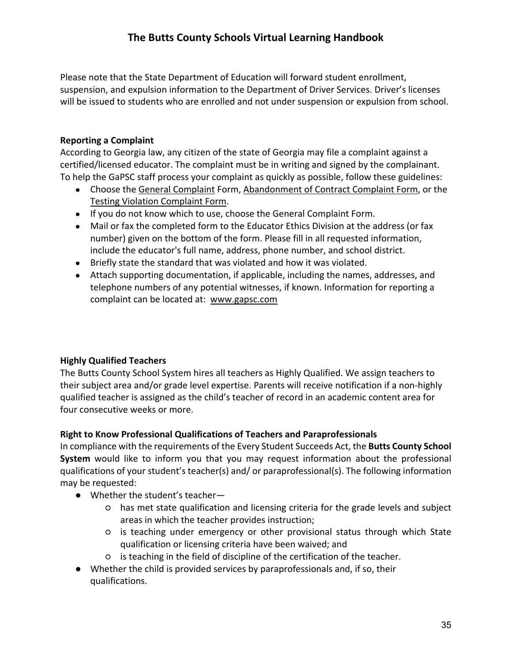Please note that the State Department of Education will forward student enrollment, suspension, and expulsion information to the Department of Driver Services. Driver's licenses will be issued to students who are enrolled and not under suspension or expulsion from school.

### **Reporting a Complaint**

According to Georgia law, any citizen of the state of Georgia may file a complaint against a certified/licensed educator. The complaint must be in writing and signed by the complainant. To help the GaPSC staff process your complaint as quickly as possible, follow these guidelines:

- Choose the [General Complaint](http://www.gapsc.com/Ethics/Downloads/complaint_Form.pdf) Form, [Abandonment of Contract Complaint Form,](http://www.gapsc.com/Ethics/Downloads/Abandonment_Complaint_Form.pdf) or the [Testing Violation Complaint Form.](http://www.gapsc.com/Ethics/Downloads/TestingComplaintForm081704.pdf)
- If you do not know which to use, choose the General Complaint Form.
- Mail or fax the completed form to the Educator Ethics Division at the address (or fax number) given on the bottom of the form. Please fill in all requested information, include the educator's full name, address, phone number, and school district.
- Briefly state the standard that was violated and how it was violated.
- Attach supporting documentation, if applicable, including the names, addresses, and telephone numbers of any potential witnesses, if known. Information for reporting a complaint can be located at: [www.gapsc.com](http://www.gapsc.com/)

### **Highly Qualified Teachers**

The Butts County School System hires all teachers as Highly Qualified. We assign teachers to their subject area and/or grade level expertise. Parents will receive notification if a non-highly qualified teacher is assigned as the child's teacher of record in an academic content area for four consecutive weeks or more.

### **Right to Know Professional Qualifications of Teachers and Paraprofessionals**

In compliance with the requirements of the Every Student Succeeds Act, the **Butts County School System** would like to inform you that you may request information about the professional qualifications of your student's teacher(s) and/ or paraprofessional(s). The following information may be requested:

- Whether the student's teacher—
	- has met state qualification and licensing criteria for the grade levels and subject areas in which the teacher provides instruction;
	- is teaching under emergency or other provisional status through which State qualification or licensing criteria have been waived; and
	- is teaching in the field of discipline of the certification of the teacher.
- Whether the child is provided services by paraprofessionals and, if so, their qualifications.